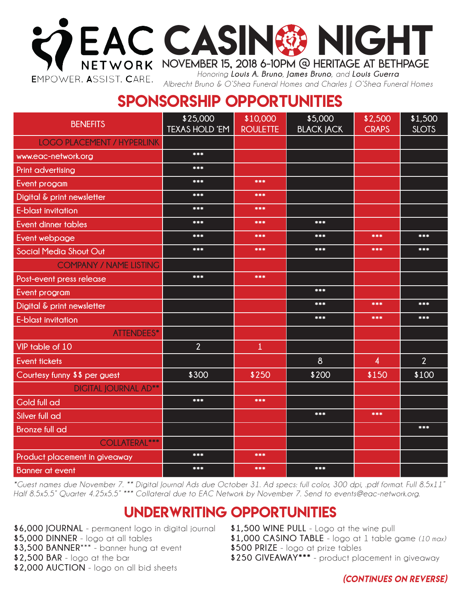

*Albrecht Bruno & O'Shea Funeral Homes and Charles J. O'Shea Funeral Homes*

# SPONSORSHIP OPPORTUNITIES

| <b>BENEFITS</b>                   | \$25,000<br><b>TEXAS HOLD 'EM</b> | \$10,000<br><b>ROULETTE</b> | \$5,000<br><b>BLACK JACK</b> | \$2,500<br><b>CRAPS</b> | \$1,500<br><b>SLOTS</b> |
|-----------------------------------|-----------------------------------|-----------------------------|------------------------------|-------------------------|-------------------------|
| <b>LOGO PLACEMENT / HYPERLINK</b> |                                   |                             |                              |                         |                         |
| www.eac-network.org               | ***                               |                             |                              |                         |                         |
| Print advertising                 | ***                               |                             |                              |                         |                         |
| Event progam                      | ***                               | ***                         |                              |                         |                         |
| Digital & print newsletter        | ***                               | ***                         |                              |                         |                         |
| E-blast invitation                | ***                               | ***                         |                              |                         |                         |
| <b>Event dinner tables</b>        | ***                               | ***                         | ***                          |                         |                         |
| Event webpage                     | ***                               | ***                         | ***                          | ***                     | ***                     |
| <b>Social Media Shout Out</b>     | ***                               | ***                         | ***                          | ***                     | ***                     |
| <b>COMPANY / NAME LISTING</b>     |                                   |                             |                              |                         |                         |
| Post-event press release          | ***                               | ***                         |                              |                         |                         |
| Event program                     |                                   |                             | ***                          |                         |                         |
| Digital & print newsletter        |                                   |                             | ***                          | ***                     | ***                     |
| E-blast invitation                |                                   |                             | ***                          | ***                     | ***                     |
| ATTENDEES*                        |                                   |                             |                              |                         |                         |
| VIP table of 10                   | $\overline{2}$                    | $\mathbf{1}$                |                              |                         |                         |
| <b>Event tickets</b>              |                                   |                             | $\delta$                     | 4                       | $\overline{2}$          |
| Courtesy funny \$\$ per guest     | \$300                             | \$250                       | \$200                        | \$150                   | \$100                   |
| <b>DIGITAL JOURNAL AD**</b>       |                                   |                             |                              |                         |                         |
| <b>Gold full ad</b>               | ***                               | ***                         |                              |                         |                         |
| Silver full ad                    |                                   |                             | ***                          | ***                     |                         |
| <b>Bronze full ad</b>             |                                   |                             |                              |                         | ***                     |
| <b>COLLATERAL***</b>              |                                   |                             |                              |                         |                         |
| Product placement in giveaway     | ***                               | ***                         |                              |                         |                         |
| <b>Banner</b> at event            | ***                               | ***                         | ***                          |                         |                         |

*\*Guest names due November 7. \*\* Digital Journal Ads due October 31. Ad specs: full color, 300 dpi, .pdf format. Full 8.5x11" Half 8.5x5.5" Quarter 4.25x5.5" \*\*\* Collateral due to EAC Network by November 7. Send to events@eac-network.org.* 

## UNDERWRITING OPPORTUNITIES

- **\$6,000 JOURNAL** permanent logo in digital journal
- **\$5,000 DINNER** logo at all tables
- **\$3,500 BANNER**\*\*\* banner hung at event
- **\$2,500 BAR** logo at the bar
- **\$2,000 AUCTION** logo on all bid sheets

**\$1,500 WINE PULL** - Logo at the wine pull **\$1,000 CASINO TABLE** - logo at 1 table game *(10 max)* **\$500 PRIZE** - logo at prize tables **\$250 GIVEAWAY\*\*\*** - product placement in giveaway

*(continues on reverse)*